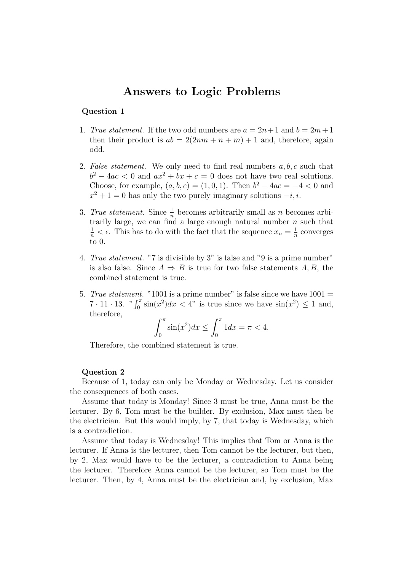## Answers to Logic Problems

## Question 1

- 1. True statement. If the two odd numbers are  $a = 2n+1$  and  $b = 2m+1$ then their product is  $ab = 2(2nm + n + m) + 1$  and, therefore, again odd.
- 2. False statement. We only need to find real numbers  $a, b, c$  such that  $b^2 - 4ac < 0$  and  $ax^2 + bx + c = 0$  does not have two real solutions. Choose, for example,  $(a, b, c) = (1, 0, 1)$ . Then  $b^2 - 4ac = -4 < 0$  and  $x^2 + 1 = 0$  has only the two purely imaginary solutions  $-i, i$ .
- 3. True statement. Since  $\frac{1}{n}$  becomes arbitrarily small as n becomes arbitrarily large, we can find a large enough natural number  $n$  such that  $\frac{1}{n} < \epsilon$ . This has to do with the fact that the sequence  $x_n = \frac{1}{n}$  $\frac{1}{n}$  converges to 0.
- 4. True statement. "7 is divisible by 3" is false and "9 is a prime number" is also false. Since  $A \Rightarrow B$  is true for two false statements A, B, the combined statement is true.
- 5. True statement. "1001 is a prime number" is false since we have  $1001 =$  $7 \cdot 11 \cdot 13$ . " $\int_0^\pi \sin(x^2) dx < 4$ " is true since we have  $\sin(x^2) \le 1$  and, therefore,

$$
\int_0^{\pi} \sin(x^2) dx \le \int_0^{\pi} 1 dx = \pi < 4.
$$

Therefore, the combined statement is true.

## Question 2

Because of 1, today can only be Monday or Wednesday. Let us consider the consequences of both cases.

Assume that today is Monday! Since 3 must be true, Anna must be the lecturer. By 6, Tom must be the builder. By exclusion, Max must then be the electrician. But this would imply, by 7, that today is Wednesday, which is a contradiction.

Assume that today is Wednesday! This implies that Tom or Anna is the lecturer. If Anna is the lecturer, then Tom cannot be the lecturer, but then, by 2, Max would have to be the lecturer, a contradiction to Anna being the lecturer. Therefore Anna cannot be the lecturer, so Tom must be the lecturer. Then, by 4, Anna must be the electrician and, by exclusion, Max